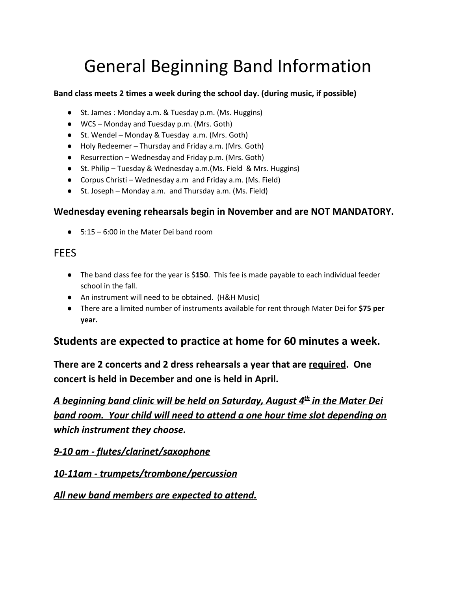# General Beginning Band Information

#### **Band class meets 2 times a week during the school day. (during music, if possible)**

- St. James : Monday a.m. & Tuesday p.m. (Ms. Huggins)
- WCS Monday and Tuesday p.m. (Mrs. Goth)
- St. Wendel Monday & Tuesday a.m. (Mrs. Goth)
- Holy Redeemer Thursday and Friday a.m. (Mrs. Goth)
- Resurrection Wednesday and Friday p.m. (Mrs. Goth)
- St. Philip Tuesday & Wednesday a.m. (Ms. Field & Mrs. Huggins)
- Corpus Christi Wednesday a.m and Friday a.m. (Ms. Field)
- St. Joseph Monday a.m. and Thursday a.m. (Ms. Field)

### **Wednesday evening rehearsals begin in November and are NOT MANDATORY.**

 $\bullet$  5:15 – 6:00 in the Mater Dei band room

## **FEES**

- The band class fee for the year is \$**150**. This fee is made payable to each individual feeder school in the fall.
- An instrument will need to be obtained. (H&H Music)
- **●** There are a limited number of instruments available for rent through Mater Dei for **\$75 per year.**

## **Students are expected to practice at home for 60 minutes a week.**

**There are 2 concerts and 2 dress rehearsals a year that are required. One concert is held in December and one is held in April.**

*A beginning band clinic will be held on Saturday, August 4 th in the Mater Dei band room. Your child will need to attend a one hour time slot depending on which instrument they choose.*

*9-10 am - flutes/clarinet/saxophone*

*10-11am - trumpets/trombone/percussion*

*All new band members are expected to attend.*